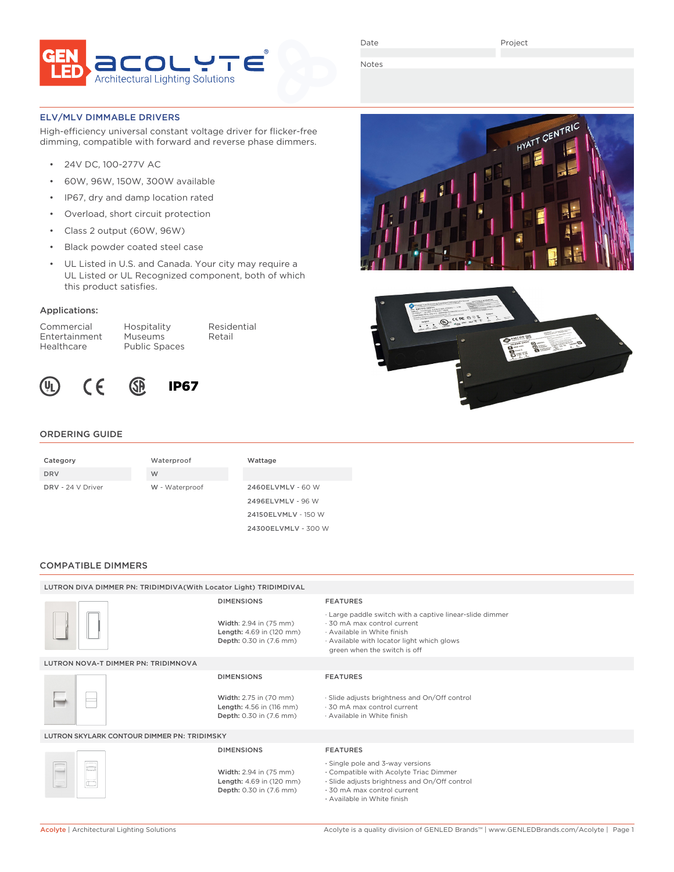

Project

HYATT CENTRIC

Notes

## ELV/MLV DIMMABLE DRIVERS

High-efficiency universal constant voltage driver for flicker-free dimming, compatible with forward and reverse phase dimmers.

- 24V DC, 100-277V AC
- 60W, 96W, 150W, 300W available
- IP67, dry and damp location rated
- Overload, short circuit protection
- Class 2 output (60W, 96W)
- Black powder coated steel case
- UL Listed in U.S. and Canada. Your city may require a UL Listed or UL Recognized component, both of which this product satisfies.

## Applications:

Commercial Hospitality Residential Entertainment Museums Retail<br>Healthcare Public Spaces Public Spaces



# IP67

## ORDERING GUIDE

| Category          | Waterproof     | Wattage             |
|-------------------|----------------|---------------------|
| <b>DRV</b>        | W              |                     |
| DRV - 24 V Driver | W - Waterproof | 2460ELVMLV - 60 W   |
|                   |                | 2496ELVMLV - 96 W   |
|                   |                | 24150ELVMLV - 150 W |
|                   |                | 24300ELVMLV - 300 W |

#### COMPATIBLE DIMMERS

| LUTRON DIVA DIMMER PN: TRIDIMDIVA(With Locator Light) TRIDIMDIVAL |                                                                               |                                                                                                                                                                                                   |  |  |
|-------------------------------------------------------------------|-------------------------------------------------------------------------------|---------------------------------------------------------------------------------------------------------------------------------------------------------------------------------------------------|--|--|
|                                                                   | <b>DIMENSIONS</b>                                                             | <b>FEATURES</b>                                                                                                                                                                                   |  |  |
|                                                                   | Width: 2.94 in (75 mm)<br>Length: 4.69 in (120 mm)<br>Depth: 0.30 in (7.6 mm) | . Large paddle switch with a captive linear-slide dimmer<br>.30 mA max control current<br>· Available in White finish<br>Available with locator light which glows<br>green when the switch is off |  |  |
| LUTRON NOVA-T DIMMER PN: TRIDIMNOVA                               |                                                                               |                                                                                                                                                                                                   |  |  |
|                                                                   | <b>DIMENSIONS</b>                                                             | <b>FEATURES</b>                                                                                                                                                                                   |  |  |
|                                                                   | Width: 2.75 in (70 mm)<br>Length: 4.56 in (116 mm)<br>Depth: 0.30 in (7.6 mm) | · Slide adjusts brightness and On/Off control<br>.30 mA max control current<br>· Available in White finish                                                                                        |  |  |
| LUTRON SKYLARK CONTOUR DIMMER PN: TRIDIMSKY                       |                                                                               |                                                                                                                                                                                                   |  |  |
|                                                                   | <b>DIMENSIONS</b>                                                             | <b>FEATURES</b>                                                                                                                                                                                   |  |  |
|                                                                   | Width: 2.94 in (75 mm)<br>Length: 4.69 in (120 mm)<br>Depth: 0.30 in (7.6 mm) | · Single pole and 3-way versions<br>. Compatible with Acolyte Triac Dimmer<br>· Slide adjusts brightness and On/Off control<br>.30 mA max control current                                         |  |  |

· 30 mA max control current · Available in White finish

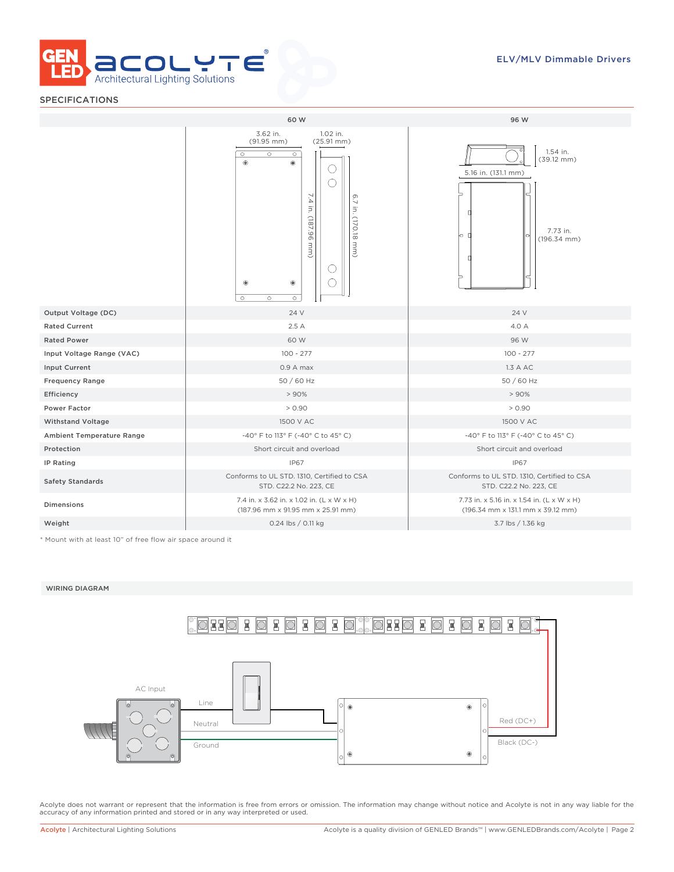

# SPECIFICATIONS

|                                  | 60 W                                                                                                                                                                                                                                         | 96 W                                                                                             |  |  |  |
|----------------------------------|----------------------------------------------------------------------------------------------------------------------------------------------------------------------------------------------------------------------------------------------|--------------------------------------------------------------------------------------------------|--|--|--|
|                                  | 3.62 in.<br>1.02 in.<br>$(91.95$ mm)<br>$(25.91 \, \text{mm})$<br>$\circ$<br>$\circ$<br>$\circ$<br>$^{\circ}$<br>⊛<br>U<br>7.4<br>6.7<br>$\Xi$<br>in. (170.18 mm)<br>(187.96<br>mm.<br>U<br>۰<br>$^{\circ}$<br>$\circ$<br>$\circ$<br>$\circ$ | 1.54 in.<br>$(39.12 \text{ mm})$<br>5.16 in. (131.1 mm)<br>7.73 in.<br>ю г<br>$(196.34$ mm)<br>f |  |  |  |
| Output Voltage (DC)              | 24 V                                                                                                                                                                                                                                         | 24 V                                                                                             |  |  |  |
| <b>Rated Current</b>             | 2.5A                                                                                                                                                                                                                                         | 4.0 A                                                                                            |  |  |  |
| <b>Rated Power</b>               | 60 W                                                                                                                                                                                                                                         | 96 W                                                                                             |  |  |  |
| Input Voltage Range (VAC)        | $100 - 277$                                                                                                                                                                                                                                  | $100 - 277$                                                                                      |  |  |  |
| <b>Input Current</b>             | $0.9A$ max                                                                                                                                                                                                                                   | 1.3 A AC                                                                                         |  |  |  |
| <b>Frequency Range</b>           | 50 / 60 Hz                                                                                                                                                                                                                                   | 50 / 60 Hz                                                                                       |  |  |  |
| Efficiency                       | > 90%                                                                                                                                                                                                                                        | > 90%                                                                                            |  |  |  |
| <b>Power Factor</b>              | > 0.90                                                                                                                                                                                                                                       | > 0.90                                                                                           |  |  |  |
| <b>Withstand Voltage</b>         | 1500 V AC                                                                                                                                                                                                                                    | 1500 V AC                                                                                        |  |  |  |
| <b>Ambient Temperature Range</b> | -40° F to 113° F (-40° C to 45° C)                                                                                                                                                                                                           | -40° F to 113° F (-40° C to 45° C)                                                               |  |  |  |
| Protection                       | Short circuit and overload                                                                                                                                                                                                                   | Short circuit and overload                                                                       |  |  |  |
| IP Rating                        | <b>IP67</b>                                                                                                                                                                                                                                  | <b>IP67</b>                                                                                      |  |  |  |
| <b>Safety Standards</b>          | Conforms to UL STD. 1310, Certified to CSA<br>STD. C22.2 No. 223, CE                                                                                                                                                                         | Conforms to UL STD. 1310, Certified to CSA<br>STD. C22.2 No. 223, CE                             |  |  |  |
| <b>Dimensions</b>                | 7.4 in. x 3.62 in. x 1.02 in. (L x W x H)<br>(187.96 mm x 91.95 mm x 25.91 mm)                                                                                                                                                               | 7.73 in. x 5.16 in. x 1.54 in. (L x W x H)<br>(196.34 mm x 131.1 mm x 39.12 mm)                  |  |  |  |
| Weight                           | 0.24 lbs / 0.11 kg                                                                                                                                                                                                                           | 3.7 lbs / 1.36 kg                                                                                |  |  |  |

\* Mount with at least 10" of free flow air space around it

#### WIRING DIAGRAM



Acolyte does not warrant or represent that the information is free from errors or omission. The information may change without notice and Acolyte is not in any way liable for the accuracy of any information printed and stored or in any way interpreted or used.